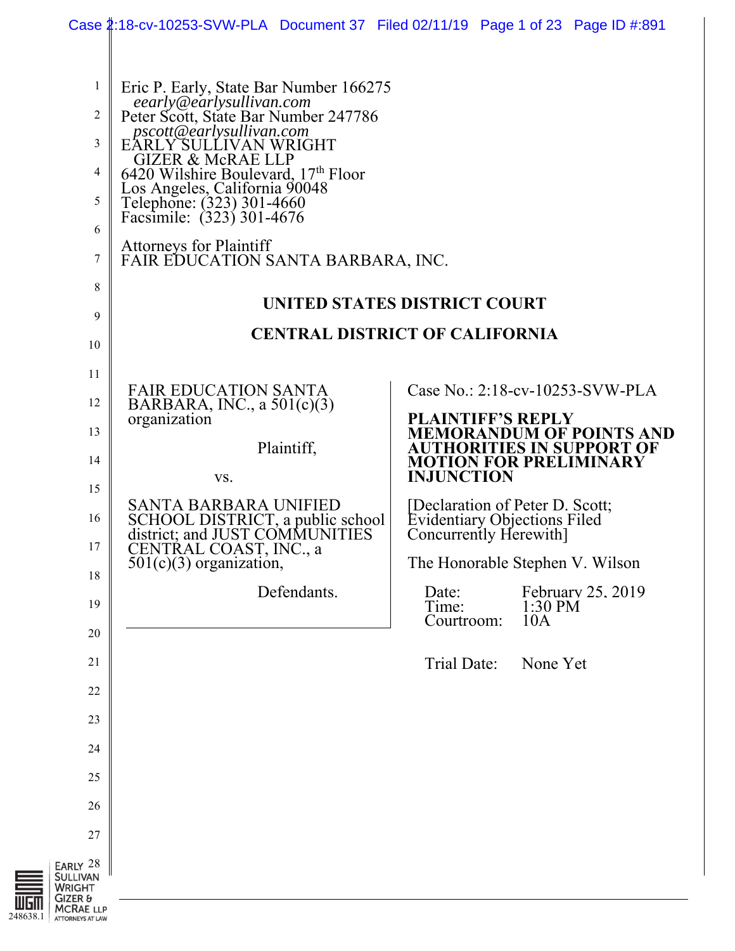|                                                             | Case 2:18-cv-10253-SVW-PLA Document 37 Filed 02/11/19 Page 1 of 23 Page ID #:891 |                                                               |                                       |                                                              |  |  |
|-------------------------------------------------------------|----------------------------------------------------------------------------------|---------------------------------------------------------------|---------------------------------------|--------------------------------------------------------------|--|--|
|                                                             |                                                                                  |                                                               |                                       |                                                              |  |  |
| 1                                                           | Eric P. Early, State Bar Number 166275<br>eearly@earlysullivan.com               |                                                               |                                       |                                                              |  |  |
| $\overline{2}$                                              | Peter Scott, State Bar Number 247786<br>pscott@earlysullivan.com                 |                                                               |                                       |                                                              |  |  |
| 3                                                           | EARLY SULLIVAN WRIGHT<br><b>GIZER &amp; McRAE LLP</b>                            |                                                               |                                       |                                                              |  |  |
| 4                                                           | 6420 Wilshire Boulevard, 17th Floor<br>Los Angeles, California 90048             |                                                               |                                       |                                                              |  |  |
| 5                                                           | Telephone: (323) 301-4660<br>Facsimile: (323) 301-4676                           |                                                               |                                       |                                                              |  |  |
| 6                                                           | <b>Attorneys for Plaintiff</b>                                                   |                                                               |                                       |                                                              |  |  |
| 7                                                           | FAIR EDUCATION SANTA BARBARA, INC.                                               |                                                               |                                       |                                                              |  |  |
| $\,$ 8 $\,$                                                 | UNITED STATES DISTRICT COURT                                                     |                                                               |                                       |                                                              |  |  |
| 9                                                           |                                                                                  |                                                               |                                       |                                                              |  |  |
| 10                                                          |                                                                                  |                                                               | <b>CENTRAL DISTRICT OF CALIFORNIA</b> |                                                              |  |  |
| 11                                                          | <b>FAIR EDUCATION SANTA</b>                                                      |                                                               |                                       | Case No.: 2:18-cv-10253-SVW-PLA                              |  |  |
| 12                                                          | BARBARA, INC., a $501(c)(3)$<br>organization                                     | <b>PLAINTIFF'S REPLY</b>                                      |                                       |                                                              |  |  |
| 13                                                          | Plaintiff,                                                                       |                                                               |                                       | <b>MEMORANDUM OF POINTS AND</b><br>AUTHORITIES IN SUPPORT OF |  |  |
| 14                                                          | VS.                                                                              | <b>MOTION FOR PRELIMINARY</b><br><b>INJUNCTION</b>            |                                       |                                                              |  |  |
| 15                                                          | <b>SANTA BARBARA UNIFIED</b>                                                     | [Declaration of Peter D. Scott;                               |                                       |                                                              |  |  |
| 16                                                          | SCHOOL DISTRICT, a public school<br>district; and JUST COMMUNITIES               | <b>Evidentiary Objections Filed</b><br>Concurrently Herewith] |                                       |                                                              |  |  |
| 17                                                          | CENTRAL COAST, INC., a<br>$501(c)(3)$ organization,                              | The Honorable Stephen V. Wilson                               |                                       |                                                              |  |  |
| 18                                                          | Defendants.                                                                      | Date:                                                         |                                       | February 25, 2019                                            |  |  |
| 19<br>20                                                    |                                                                                  | Time:<br>Courtroom:                                           | $1:30$ PM<br>10A                      |                                                              |  |  |
| 21                                                          |                                                                                  | Trial Date:                                                   | None Yet                              |                                                              |  |  |
| 22                                                          |                                                                                  |                                                               |                                       |                                                              |  |  |
| 23                                                          |                                                                                  |                                                               |                                       |                                                              |  |  |
| 24                                                          |                                                                                  |                                                               |                                       |                                                              |  |  |
| 25                                                          |                                                                                  |                                                               |                                       |                                                              |  |  |
| 26                                                          |                                                                                  |                                                               |                                       |                                                              |  |  |
| 27                                                          |                                                                                  |                                                               |                                       |                                                              |  |  |
| <b>RLY 28</b><br><b>LLIVAN</b><br>RIGHT<br><b>ZER &amp;</b> |                                                                                  |                                                               |                                       |                                                              |  |  |

**BUDIII** MCRAE LLP<br>248638.1 ATTORNEYS AT LAW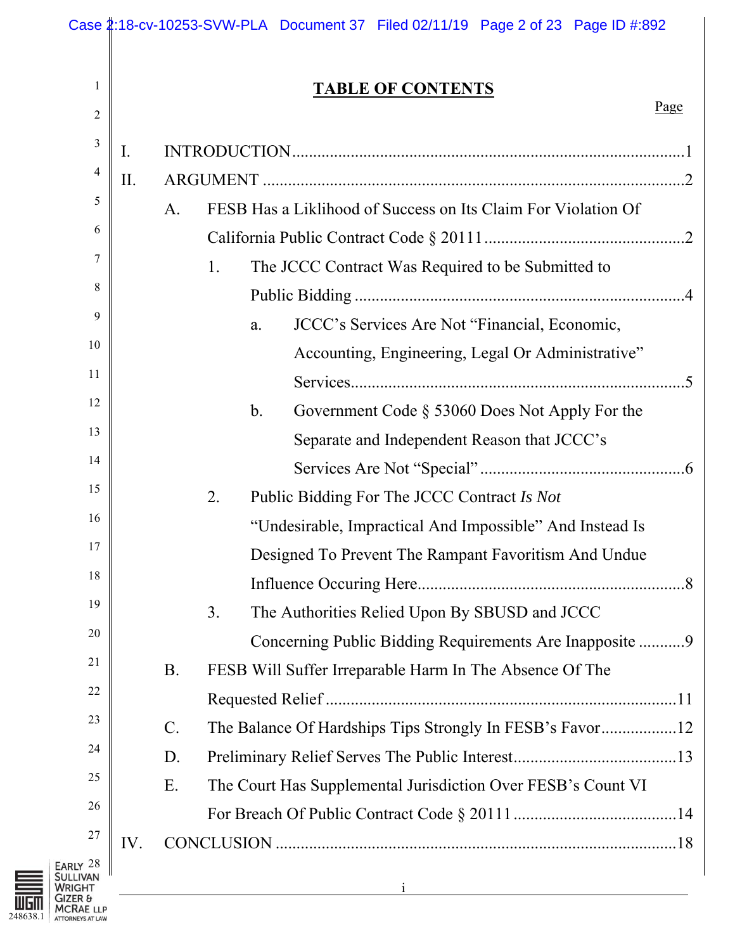|                                                  |     |           |    | Case 2:18-cv-10253-SVW-PLA Document 37 Filed 02/11/19 Page 2 of 23 Page ID #:892 |      |
|--------------------------------------------------|-----|-----------|----|----------------------------------------------------------------------------------|------|
| 1                                                |     |           |    | <b>TABLE OF CONTENTS</b>                                                         |      |
| $\overline{2}$                                   |     |           |    |                                                                                  | Page |
| $\mathfrak{Z}$                                   | I.  |           |    |                                                                                  |      |
| 4                                                | II. |           |    |                                                                                  |      |
| 5                                                |     | A.        |    | FESB Has a Liklihood of Success on Its Claim For Violation Of                    |      |
| 6                                                |     |           |    |                                                                                  |      |
| 7                                                |     |           | 1. | The JCCC Contract Was Required to be Submitted to                                |      |
| 8                                                |     |           |    |                                                                                  |      |
| 9                                                |     |           |    | JCCC's Services Are Not "Financial, Economic,<br>a.                              |      |
| 10                                               |     |           |    | Accounting, Engineering, Legal Or Administrative"                                |      |
| 11                                               |     |           |    |                                                                                  |      |
| 12                                               |     |           |    | b.<br>Government Code $\S$ 53060 Does Not Apply For the                          |      |
| 13                                               |     |           |    | Separate and Independent Reason that JCCC's                                      |      |
| 14                                               |     |           |    |                                                                                  |      |
| 15                                               |     |           | 2. | Public Bidding For The JCCC Contract Is Not                                      |      |
| 16                                               |     |           |    | "Undesirable, Impractical And Impossible" And Instead Is                         |      |
| 17                                               |     |           |    | Designed To Prevent The Rampant Favoritism And Undue                             |      |
| 18                                               |     |           |    |                                                                                  |      |
| 19                                               |     |           | 3. | The Authorities Relied Upon By SBUSD and JCCC                                    |      |
| 20                                               |     |           |    | Concerning Public Bidding Requirements Are Inapposite 9                          |      |
| 21                                               |     | <b>B.</b> |    | FESB Will Suffer Irreparable Harm In The Absence Of The                          |      |
| $22\,$                                           |     |           |    |                                                                                  |      |
| 23                                               |     | $C$ .     |    | The Balance Of Hardships Tips Strongly In FESB's Favor12                         |      |
| 24                                               |     | D.        |    |                                                                                  |      |
| 25                                               |     | Ε.        |    | The Court Has Supplemental Jurisdiction Over FESB's Count VI                     |      |
| 26                                               |     |           |    |                                                                                  |      |
| 27                                               | IV. |           |    |                                                                                  |      |
| <b>ARLY 28</b><br><b>JLLIVAN</b><br><b>RIGHT</b> |     |           |    |                                                                                  |      |

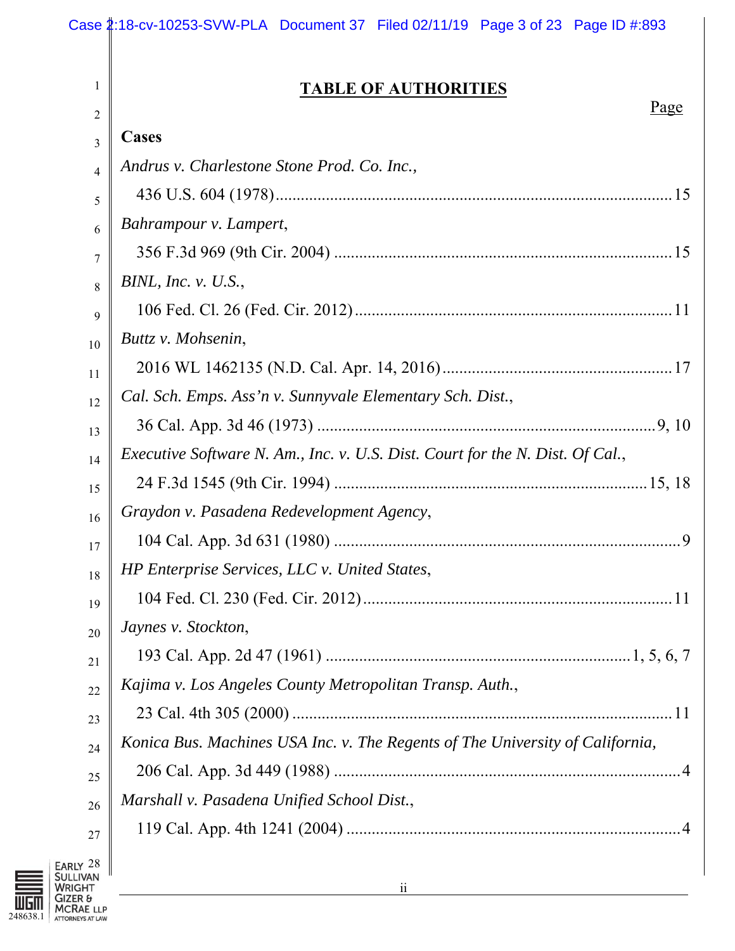## **TABLE OF AUTHORITIES**

|        | <u> ПЪВЕЕ ОГ ЛОТНОМ ПЕБ</u><br>Page                                                  |
|--------|--------------------------------------------------------------------------------------|
| 2<br>3 | Cases                                                                                |
|        | Andrus v. Charlestone Stone Prod. Co. Inc.,                                          |
|        |                                                                                      |
|        | Bahrampour v. Lampert,                                                               |
|        |                                                                                      |
|        | BINL, Inc. v. $U.S.,$                                                                |
|        |                                                                                      |
|        | Buttz v. Mohsenin,                                                                   |
|        |                                                                                      |
|        | Cal. Sch. Emps. Ass'n v. Sunnyvale Elementary Sch. Dist.,                            |
|        |                                                                                      |
|        | <i>Executive Software N. Am., Inc. v. U.S. Dist. Court for the N. Dist. Of Cal.,</i> |
|        |                                                                                      |
|        | Graydon v. Pasadena Redevelopment Agency,                                            |
|        |                                                                                      |
|        | HP Enterprise Services, LLC v. United States,                                        |
|        |                                                                                      |
|        | $_{20}$   Jaynes v. Stockton,                                                        |
|        |                                                                                      |
|        | Kajima v. Los Angeles County Metropolitan Transp. Auth.,                             |
|        |                                                                                      |
|        | Konica Bus. Machines USA Inc. v. The Regents of The University of California,        |
|        |                                                                                      |
|        | Marshall v. Pasadena Unified School Dist.,                                           |
|        |                                                                                      |
|        |                                                                                      |



1

 $\overline{\phantom{a}}$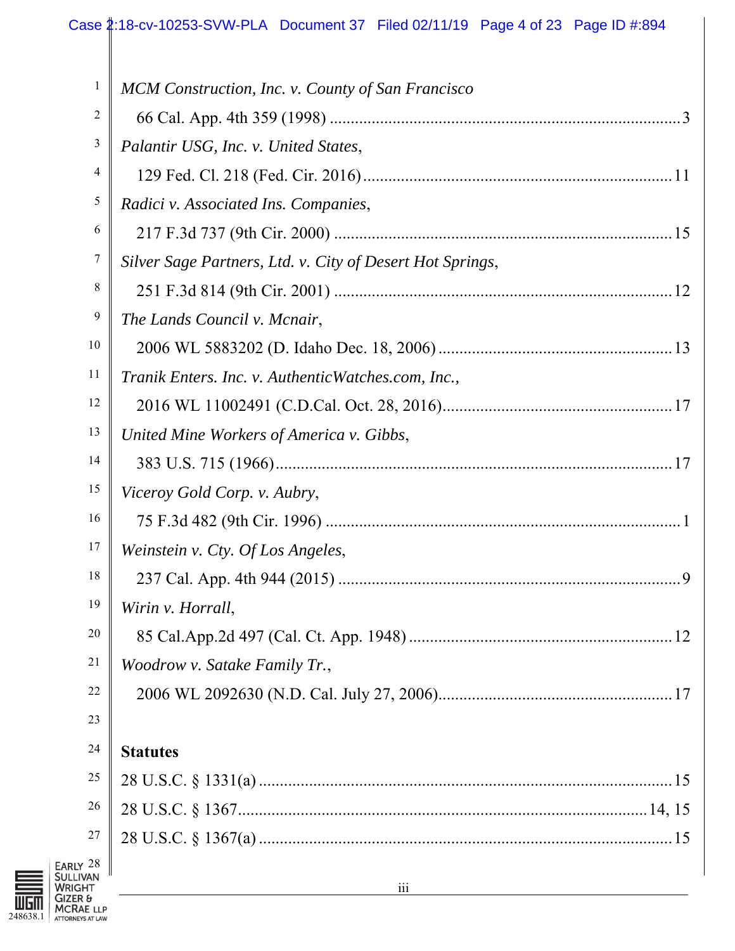### Case 2:18-cv-10253-SVW-PLA Document 37 Filed 02/11/19 Page 4 of 23 Page ID #:894

| $\mathbf{1}$ | MCM Construction, Inc. v. County of San Francisco         |
|--------------|-----------------------------------------------------------|
| 2            |                                                           |
| 3            | Palantir USG, Inc. v. United States,                      |
| 4            |                                                           |
| 5            | Radici v. Associated Ins. Companies,                      |
| 6            |                                                           |
| 7            | Silver Sage Partners, Ltd. v. City of Desert Hot Springs, |
| 8            |                                                           |
| 9            | The Lands Council v. Mcnair,                              |
| 10           |                                                           |
| 11           | Tranik Enters. Inc. v. Authentic Watches.com, Inc.,       |
| 12           |                                                           |
| 13           | United Mine Workers of America v. Gibbs,                  |
| 14           |                                                           |
| 15           | Viceroy Gold Corp. v. Aubry,                              |
| 16           |                                                           |
| 17           | Weinstein v. Cty. Of Los Angeles,                         |
| 18           |                                                           |
| 19           | Wirin v. Horrall,                                         |
| 20           |                                                           |
| 21           | Woodrow v. Satake Family Tr.,                             |
| 22           |                                                           |
| 23           |                                                           |
| 24           | <b>Statutes</b>                                           |
| 25           |                                                           |
| 26           |                                                           |
| 27           |                                                           |
| 28<br>/AN    |                                                           |
| łТ           | $\overline{\text{iii}}$                                   |

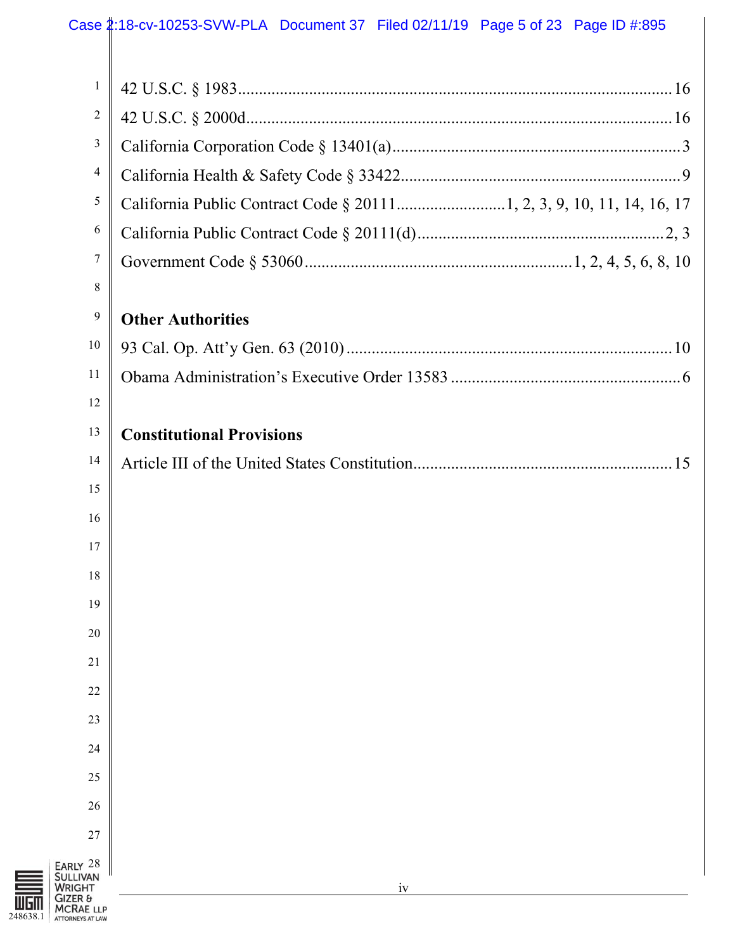### Case 2:18-cv-10253-SVW-PLA Document 37 Filed 02/11/19 Page 5 of 23 Page ID #:895

| $\mathbf{1}$                                            |                                  |
|---------------------------------------------------------|----------------------------------|
| $\overline{c}$                                          |                                  |
| 3                                                       |                                  |
| 4                                                       |                                  |
| 5                                                       |                                  |
| 6                                                       |                                  |
| 7                                                       |                                  |
| 8                                                       |                                  |
| 9                                                       | <b>Other Authorities</b>         |
| 10                                                      |                                  |
| 11                                                      |                                  |
| 12                                                      |                                  |
| 13                                                      | <b>Constitutional Provisions</b> |
| 14                                                      |                                  |
| 15                                                      |                                  |
| 16                                                      |                                  |
| 17                                                      |                                  |
| 18                                                      |                                  |
| 19                                                      |                                  |
| 20                                                      |                                  |
| 21                                                      |                                  |
| 22                                                      |                                  |
| 23                                                      |                                  |
| 24                                                      |                                  |
| 25                                                      |                                  |
| 26                                                      |                                  |
| 27                                                      |                                  |
| EARLY 28<br><b>SULLIVAN</b><br><b>WRIGHT</b><br>GIZER & | iv                               |

GIZER **ULLER &**<br>248638.1 ATTORNEYS AT LAW **MCRAE LLP**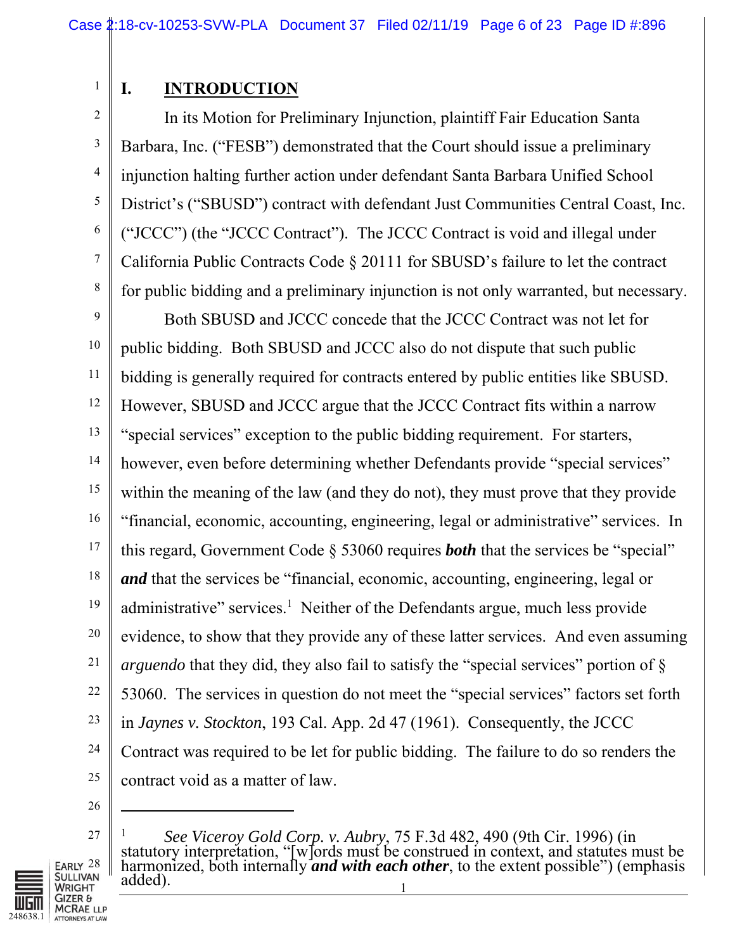1 2

3

4

5

6

7

8

## **I. INTRODUCTION**

In its Motion for Preliminary Injunction, plaintiff Fair Education Santa Barbara, Inc. ("FESB") demonstrated that the Court should issue a preliminary injunction halting further action under defendant Santa Barbara Unified School District's ("SBUSD") contract with defendant Just Communities Central Coast, Inc. ("JCCC") (the "JCCC Contract"). The JCCC Contract is void and illegal under California Public Contracts Code § 20111 for SBUSD's failure to let the contract for public bidding and a preliminary injunction is not only warranted, but necessary.

9 10 11 12 13 14 15 16 17 18 19 20 21 22 23 24 25 Both SBUSD and JCCC concede that the JCCC Contract was not let for public bidding. Both SBUSD and JCCC also do not dispute that such public bidding is generally required for contracts entered by public entities like SBUSD. However, SBUSD and JCCC argue that the JCCC Contract fits within a narrow "special services" exception to the public bidding requirement. For starters, however, even before determining whether Defendants provide "special services" within the meaning of the law (and they do not), they must prove that they provide "financial, economic, accounting, engineering, legal or administrative" services. In this regard, Government Code § 53060 requires *both* that the services be "special" *and* that the services be "financial, economic, accounting, engineering, legal or administrative" services.<sup>1</sup> Neither of the Defendants argue, much less provide evidence, to show that they provide any of these latter services. And even assuming *arguendo* that they did, they also fail to satisfy the "special services" portion of § 53060. The services in question do not meet the "special services" factors set forth in *Jaynes v. Stockton*, 193 Cal. App. 2d 47 (1961). Consequently, the JCCC Contract was required to be let for public bidding. The failure to do so renders the contract void as a matter of law.

26

l

27

Early  $28$ **JULLIVAN GHT** 

<sup>1</sup>  <sup>1</sup> See Viceroy Gold Corp. v. Aubry, 75 F.3d 482, 490 (9th Cir. 1996) (in statutory interpretation, "[w]ords must be construed in context, and statutes must be harmonized, both internally **and with each other**, to the ext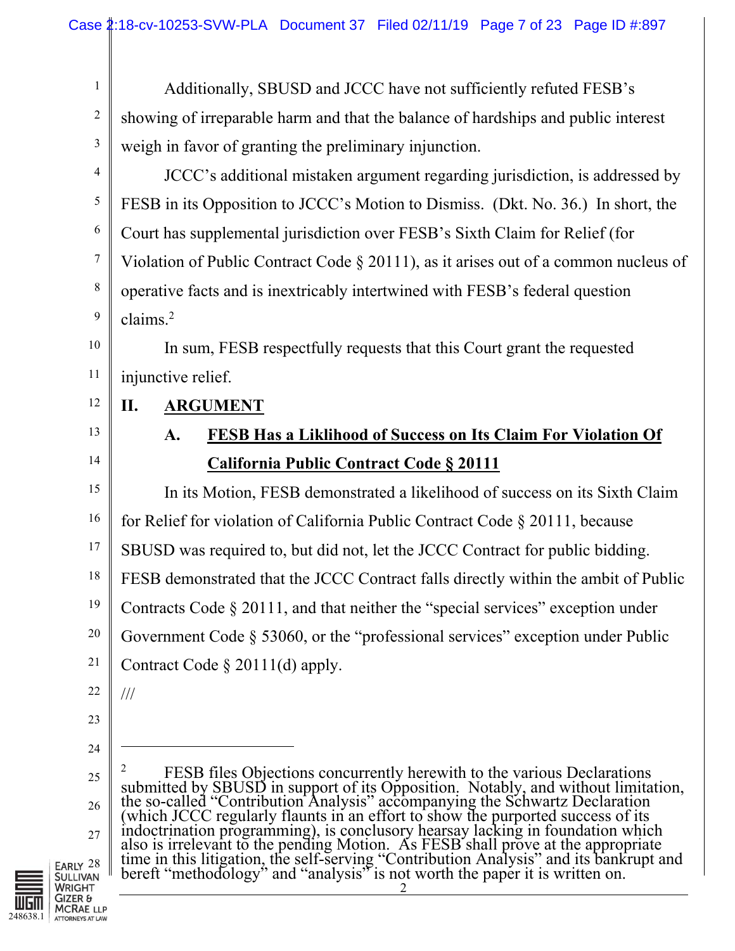Additionally, SBUSD and JCCC have not sufficiently refuted FESB's showing of irreparable harm and that the balance of hardships and public interest weigh in favor of granting the preliminary injunction.

JCCC's additional mistaken argument regarding jurisdiction, is addressed by FESB in its Opposition to JCCC's Motion to Dismiss. (Dkt. No. 36.) In short, the Court has supplemental jurisdiction over FESB's Sixth Claim for Relief (for Violation of Public Contract Code § 20111), as it arises out of a common nucleus of operative facts and is inextricably intertwined with FESB's federal question claims.<sup>2</sup>

In sum, FESB respectfully requests that this Court grant the requested injunctive relief.

## **II. ARGUMENT**

13 14

1

2

3

4

5

6

7

8

9

10

11

12

## **A. FESB Has a Liklihood of Success on Its Claim For Violation Of California Public Contract Code § 20111**

15 16 17 18 19 20 21 In its Motion, FESB demonstrated a likelihood of success on its Sixth Claim for Relief for violation of California Public Contract Code § 20111, because SBUSD was required to, but did not, let the JCCC Contract for public bidding. FESB demonstrated that the JCCC Contract falls directly within the ambit of Public Contracts Code § 20111, and that neither the "special services" exception under Government Code § 53060, or the "professional services" exception under Public Contract Code § 20111(d) apply.

22

///

 $\overline{a}$ 

- 23
- 24
- 25

26 27

Early <sup>28</sup><br>Sullivan WRIGHT GIZER & **MCRAE LLP** 248638.1 ATTORNEYS AT LAW

2 2 <sup>2</sup> FESB files Objections concurrently herewith to the various Declarations submitted by SBUSD in support of its Opposition. Notably, and without limitation, submitted by SBUSD in support of its Opposition. Notably, and without limitation, the so-called "Contribution Analysis" accompanying the Schwartz Declaration (which JCCC regularly flaunts in an effort to show the purported success of its indoctrination programming), is conclusory hearsay lacking in foundation which also is irrelevant to the pending Motion. As FESB shall prove at the appropriate<br>time in this litigation, the self-serving "Contribution Analysis" and its bankrupt and<br>bereft "methodology" and "analysis" is not worth the p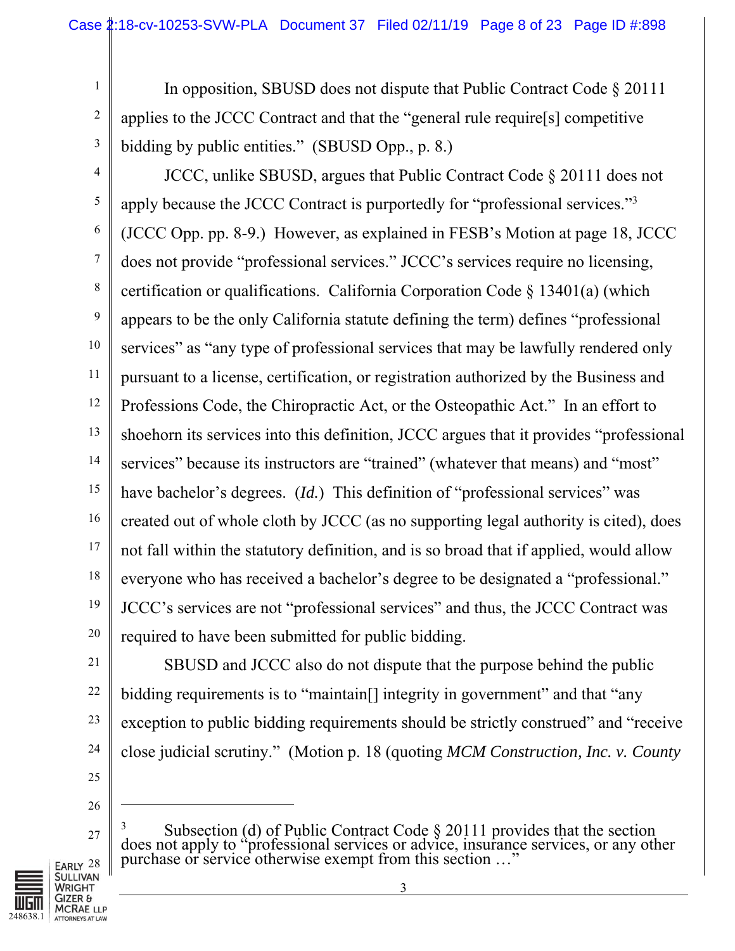In opposition, SBUSD does not dispute that Public Contract Code § 20111 applies to the JCCC Contract and that the "general rule require[s] competitive bidding by public entities." (SBUSD Opp., p. 8.)

4 5 6 7 8 9 10 11 12 13 14 15 16 17 18 19 20 JCCC, unlike SBUSD, argues that Public Contract Code § 20111 does not apply because the JCCC Contract is purportedly for "professional services."<sup>3</sup> (JCCC Opp. pp. 8-9.) However, as explained in FESB's Motion at page 18, JCCC does not provide "professional services." JCCC's services require no licensing, certification or qualifications. California Corporation Code  $\S$  13401(a) (which appears to be the only California statute defining the term) defines "professional services" as "any type of professional services that may be lawfully rendered only pursuant to a license, certification, or registration authorized by the Business and Professions Code, the Chiropractic Act, or the Osteopathic Act." In an effort to shoehorn its services into this definition, JCCC argues that it provides "professional services" because its instructors are "trained" (whatever that means) and "most" have bachelor's degrees. (*Id.*) This definition of "professional services" was created out of whole cloth by JCCC (as no supporting legal authority is cited), does not fall within the statutory definition, and is so broad that if applied, would allow everyone who has received a bachelor's degree to be designated a "professional." JCCC's services are not "professional services" and thus, the JCCC Contract was required to have been submitted for public bidding.

21

22

23

24

25

1

2

3

SBUSD and JCCC also do not dispute that the purpose behind the public bidding requirements is to "maintain<sup>[]</sup> integrity in government" and that "any exception to public bidding requirements should be strictly construed" and "receive close judicial scrutiny." (Motion p. 18 (quoting *MCM Construction, Inc. v. County* 

26

 $\overline{a}$ 

27  $3$  Subsection (d) of Public Contract Code  $\S 20111$  provides that the section does not apply to "professional services or advice, insurance services, or any other purchase or service otherwise exempt from this section ..."

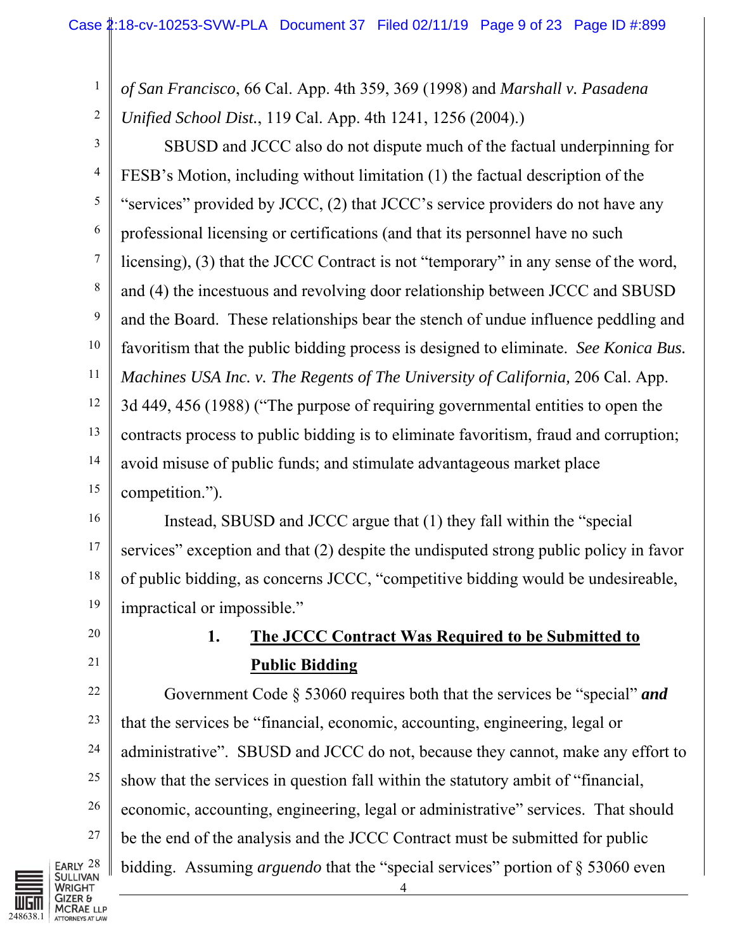2 *of San Francisco*, 66 Cal. App. 4th 359, 369 (1998) and *Marshall v. Pasadena Unified School Dist.*, 119 Cal. App. 4th 1241, 1256 (2004).)

3 4 5 6 7 8 9 10 11 12 13 14 15 SBUSD and JCCC also do not dispute much of the factual underpinning for FESB's Motion, including without limitation (1) the factual description of the "services" provided by JCCC, (2) that JCCC's service providers do not have any professional licensing or certifications (and that its personnel have no such licensing), (3) that the JCCC Contract is not "temporary" in any sense of the word, and (4) the incestuous and revolving door relationship between JCCC and SBUSD and the Board. These relationships bear the stench of undue influence peddling and favoritism that the public bidding process is designed to eliminate. *See Konica Bus. Machines USA Inc. v. The Regents of The University of California,* 206 Cal. App. 3d 449, 456 (1988) ("The purpose of requiring governmental entities to open the contracts process to public bidding is to eliminate favoritism, fraud and corruption; avoid misuse of public funds; and stimulate advantageous market place competition.").

16 17 18 19 Instead, SBUSD and JCCC argue that (1) they fall within the "special services" exception and that (2) despite the undisputed strong public policy in favor of public bidding, as concerns JCCC, "competitive bidding would be undesireable, impractical or impossible."

20

21

27

1

# **1. The JCCC Contract Was Required to be Submitted to Public Bidding**

22 23 24 25 26 4 Government Code § 53060 requires both that the services be "special" *and*  that the services be "financial, economic, accounting, engineering, legal or administrative". SBUSD and JCCC do not, because they cannot, make any effort to show that the services in question fall within the statutory ambit of "financial, economic, accounting, engineering, legal or administrative" services. That should be the end of the analysis and the JCCC Contract must be submitted for public bidding. Assuming *arguendo* that the "special services" portion of § 53060 even

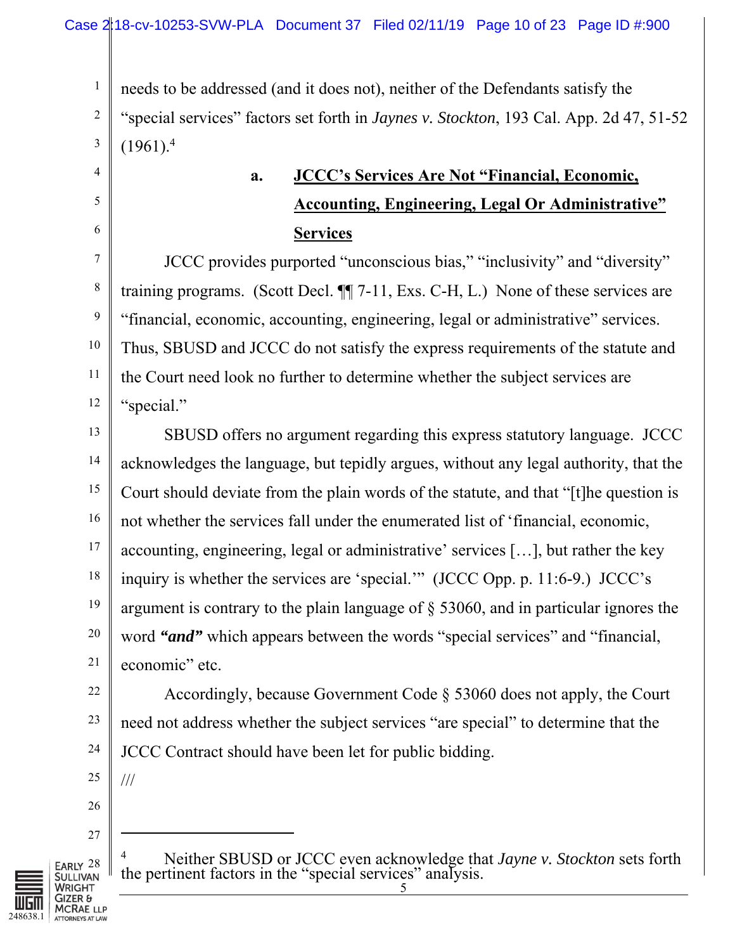needs to be addressed (and it does not), neither of the Defendants satisfy the

"special services" factors set forth in *Jaynes v. Stockton*, 193 Cal. App. 2d 47, 51-52  $(1961)^{4}$ 

# **a. JCCC's Services Are Not "Financial, Economic, Accounting, Engineering, Legal Or Administrative" Services**

JCCC provides purported "unconscious bias," "inclusivity" and "diversity" training programs. (Scott Decl. ¶¶ 7-11, Exs. C-H, L.) None of these services are "financial, economic, accounting, engineering, legal or administrative" services. Thus, SBUSD and JCCC do not satisfy the express requirements of the statute and the Court need look no further to determine whether the subject services are "special."

13 14 15 16 17 18 19 20 21 SBUSD offers no argument regarding this express statutory language. JCCC acknowledges the language, but tepidly argues, without any legal authority, that the Court should deviate from the plain words of the statute, and that "[t]he question is not whether the services fall under the enumerated list of 'financial, economic, accounting, engineering, legal or administrative' services […], but rather the key inquiry is whether the services are 'special.'" (JCCC Opp. p. 11:6-9.) JCCC's argument is contrary to the plain language of § 53060, and in particular ignores the word "*and*" which appears between the words "special services" and "financial, economic" etc.

22 23 Accordingly, because Government Code § 53060 does not apply, the Court need not address whether the subject services "are special" to determine that the JCCC Contract should have been let for public bidding.

25

///

 $\overline{a}$ 

26

24

1

2

3

4

5

6

7

8

9

10

11

12

27



4 Neither SBUSD or JCCC even acknowledge that *Jayne v. Stockton* sets forth the pertinent factors in the "special services" analysis.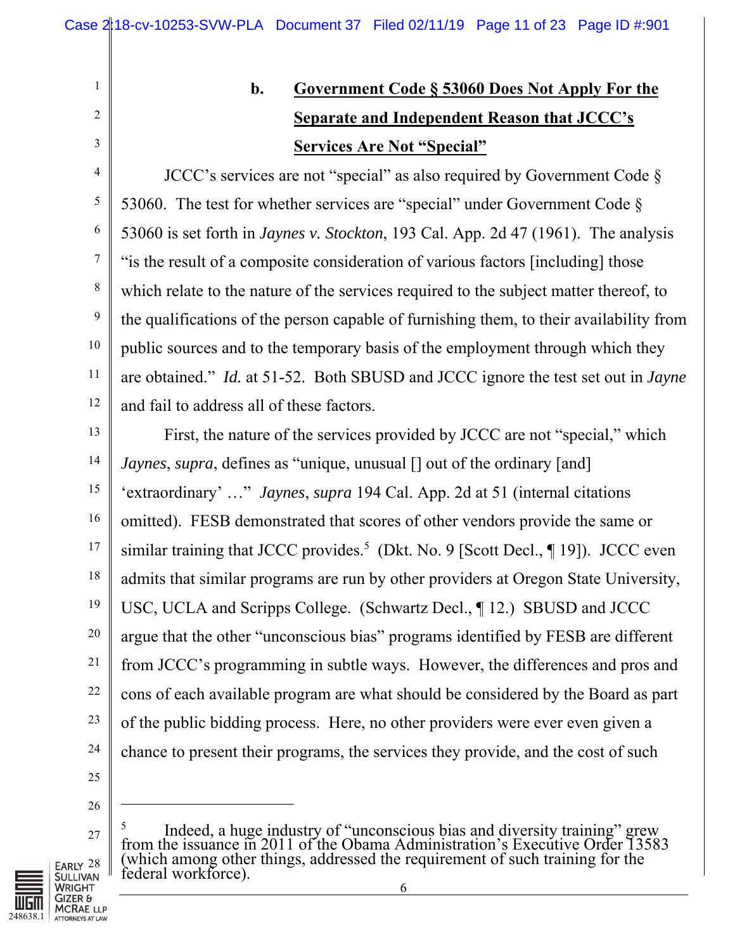# 3

4

5

6

7

8

9

10

11

12

1

2

# **b. Government Code § 53060 Does Not Apply For the Separate and Independent Reason that JCCC's Services Are Not "Special"**

JCCC's services are not "special" as also required by Government Code § 53060. The test for whether services are "special" under Government Code  $\S$ 53060 is set forth in *Jaynes v. Stockton*, 193 Cal. App. 2d 47 (1961). The analysis "is the result of a composite consideration of various factors [including] those which relate to the nature of the services required to the subject matter thereof, to the qualifications of the person capable of furnishing them, to their availability from public sources and to the temporary basis of the employment through which they are obtained." *Id.* at 51-52. Both SBUSD and JCCC ignore the test set out in *Jayne* and fail to address all of these factors.

13 14 15 16 17 18 19 20 21 22 23 24 First, the nature of the services provided by JCCC are not "special," which *Jaynes*, *supra*, defines as "unique, unusual [] out of the ordinary [and] 'extraordinary' …" *Jaynes*, *supra* 194 Cal. App. 2d at 51 (internal citations omitted). FESB demonstrated that scores of other vendors provide the same or similar training that JCCC provides.<sup>5</sup> (Dkt. No. 9 [Scott Decl.,  $\P$  19]). JCCC even admits that similar programs are run by other providers at Oregon State University, USC, UCLA and Scripps College. (Schwartz Decl., ¶ 12.) SBUSD and JCCC argue that the other "unconscious bias" programs identified by FESB are different from JCCC's programming in subtle ways. However, the differences and pros and cons of each available program are what should be considered by the Board as part of the public bidding process. Here, no other providers were ever even given a chance to present their programs, the services they provide, and the cost of such

26

 $\overline{a}$ 

27

<sup>&</sup>lt;sup>5</sup> Indeed, a huge industry of "unconscious bias and diversity training" grew from the issuance in 2011 of the Obama Administration's Executive Order 13583 (which among other things, addressed the requirement of such training for the federal workforce).

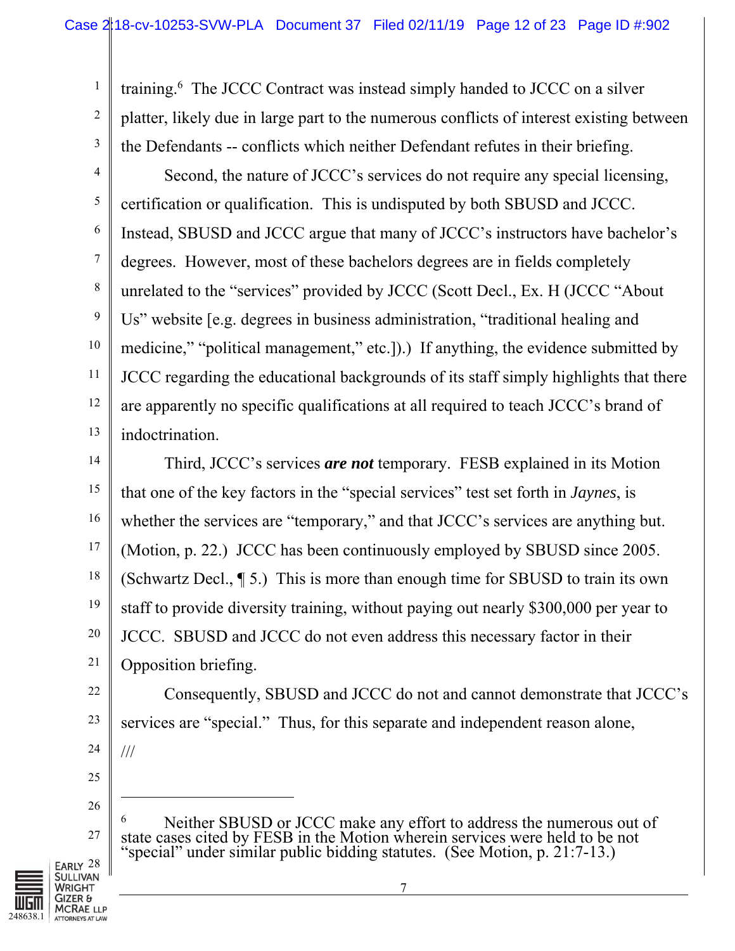training.<sup>6</sup> The JCCC Contract was instead simply handed to JCCC on a silver platter, likely due in large part to the numerous conflicts of interest existing between the Defendants -- conflicts which neither Defendant refutes in their briefing.

4 5 6 7 8 9 10 11 12 13 Second, the nature of JCCC's services do not require any special licensing, certification or qualification. This is undisputed by both SBUSD and JCCC. Instead, SBUSD and JCCC argue that many of JCCC's instructors have bachelor's degrees. However, most of these bachelors degrees are in fields completely unrelated to the "services" provided by JCCC (Scott Decl., Ex. H (JCCC "About Us" website [e.g. degrees in business administration, "traditional healing and medicine," "political management," etc.]).) If anything, the evidence submitted by JCCC regarding the educational backgrounds of its staff simply highlights that there are apparently no specific qualifications at all required to teach JCCC's brand of indoctrination.

14 15 16 17 18 19 20 21 Third, JCCC's services *are not* temporary. FESB explained in its Motion that one of the key factors in the "special services" test set forth in *Jaynes*, is whether the services are "temporary," and that JCCC's services are anything but. (Motion, p. 22.) JCCC has been continuously employed by SBUSD since 2005. (Schwartz Decl., ¶ 5.) This is more than enough time for SBUSD to train its own staff to provide diversity training, without paying out nearly \$300,000 per year to JCCC. SBUSD and JCCC do not even address this necessary factor in their Opposition briefing.

Consequently, SBUSD and JCCC do not and cannot demonstrate that JCCC's services are "special." Thus, for this separate and independent reason alone, ///

25

 $\overline{a}$ 

22

23

24

1

2

3

26

27

<sup>6</sup> Neither SBUSD or JCCC make any effort to address the numerous out of state cases cited by FESB in the Motion wherein services were held to be not special" under similar public bidding statutes. (See Motion, p. 21:7-13.)

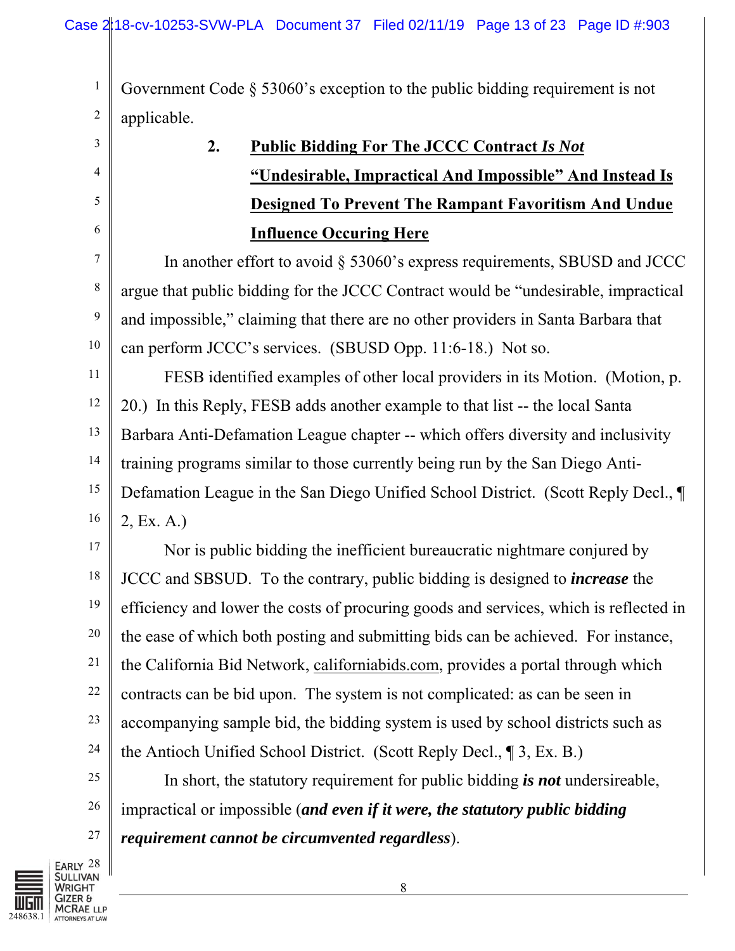1 2 Government Code § 53060's exception to the public bidding requirement is not applicable.

| 3                | 2.<br><b>Public Bidding For The JCCC Contract Is Not</b>                              |
|------------------|---------------------------------------------------------------------------------------|
| 4                | "Undesirable, Impractical And Impossible" And Instead Is                              |
| 5                | <b>Designed To Prevent The Rampant Favoritism And Undue</b>                           |
| 6                | <b>Influence Occuring Here</b>                                                        |
| $\tau$           | In another effort to avoid $\S$ 53060's express requirements, SBUSD and JCCC          |
| $\,8\,$          | argue that public bidding for the JCCC Contract would be "undesirable, impractical    |
| $\boldsymbol{9}$ | and impossible," claiming that there are no other providers in Santa Barbara that     |
| 10               | can perform JCCC's services. (SBUSD Opp. 11:6-18.) Not so.                            |
| 11               | FESB identified examples of other local providers in its Motion. (Motion, p.          |
| 12               | 20.) In this Reply, FESB adds another example to that list -- the local Santa         |
| 13               | Barbara Anti-Defamation League chapter -- which offers diversity and inclusivity      |
| 14               | training programs similar to those currently being run by the San Diego Anti-         |
| 15               | Defamation League in the San Diego Unified School District. (Scott Reply Decl., ¶     |
| 16               | 2, Ex. A.)                                                                            |
| 17               | Nor is public bidding the inefficient bureaucratic nightmare conjured by              |
| $18\,$           | JCCC and SBSUD. To the contrary, public bidding is designed to <i>increase</i> the    |
| 19               | efficiency and lower the costs of procuring goods and services, which is reflected in |
| 20               | the ease of which both posting and submitting bids can be achieved. For instance,     |
| 21               | the California Bid Network, californiabids.com, provides a portal through which       |
| 22               | contracts can be bid upon. The system is not complicated: as can be seen in           |
| 23               | accompanying sample bid, the bidding system is used by school districts such as       |
| 24               | the Antioch Unified School District. (Scott Reply Decl., 13, Ex. B.)                  |
| 25               | In short, the statutory requirement for public bidding is not undersireable,          |
| 26               | impractical or impossible (and even if it were, the statutory public bidding          |
| 27               | requirement cannot be circumvented regardless).                                       |

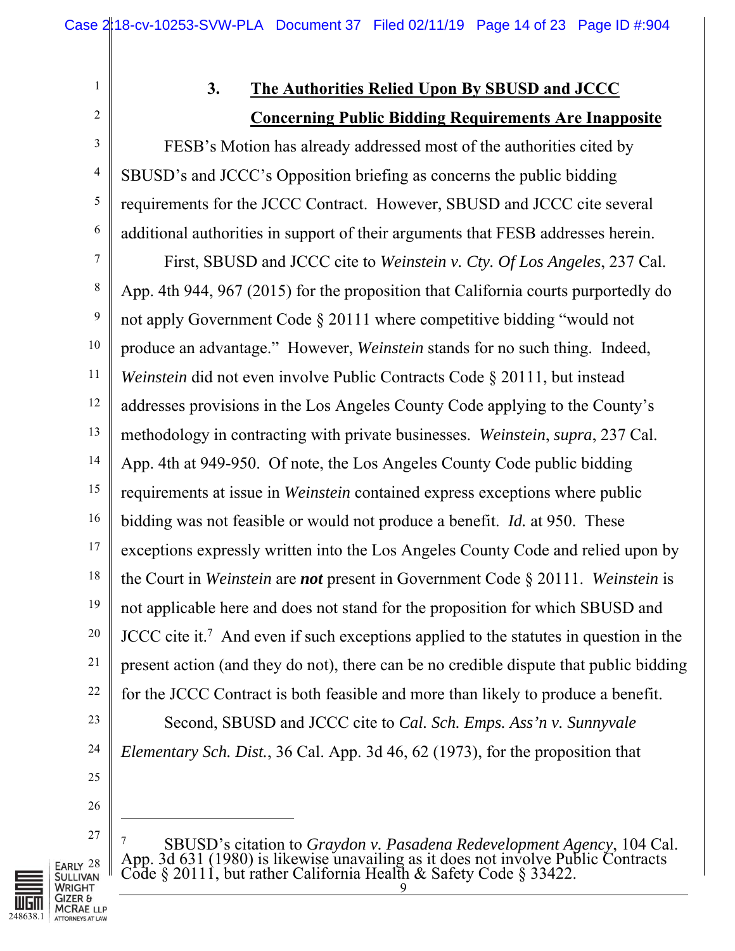2 3

4

5

6

1

## **3. The Authorities Relied Upon By SBUSD and JCCC Concerning Public Bidding Requirements Are Inapposite**

FESB's Motion has already addressed most of the authorities cited by SBUSD's and JCCC's Opposition briefing as concerns the public bidding requirements for the JCCC Contract. However, SBUSD and JCCC cite several additional authorities in support of their arguments that FESB addresses herein.

7 8 9 10 11 12 13 14 15 16 17 18 19 20 21 22 23 First, SBUSD and JCCC cite to *Weinstein v. Cty. Of Los Angeles*, 237 Cal. App. 4th 944, 967 (2015) for the proposition that California courts purportedly do not apply Government Code § 20111 where competitive bidding "would not produce an advantage." However, *Weinstein* stands for no such thing. Indeed, *Weinstein* did not even involve Public Contracts Code § 20111, but instead addresses provisions in the Los Angeles County Code applying to the County's methodology in contracting with private businesses. *Weinstein*, *supra*, 237 Cal. App. 4th at 949-950. Of note, the Los Angeles County Code public bidding requirements at issue in *Weinstein* contained express exceptions where public bidding was not feasible or would not produce a benefit. *Id.* at 950. These exceptions expressly written into the Los Angeles County Code and relied upon by the Court in *Weinstein* are *not* present in Government Code § 20111. *Weinstein* is not applicable here and does not stand for the proposition for which SBUSD and JCCC cite it.<sup>7</sup> And even if such exceptions applied to the statutes in question in the present action (and they do not), there can be no credible dispute that public bidding for the JCCC Contract is both feasible and more than likely to produce a benefit. Second, SBUSD and JCCC cite to *Cal. Sch. Emps. Ass'n v. Sunnyvale* 

- 24 *Elementary Sch. Dist.*, 36 Cal. App. 3d 46, 62 (1973), for the proposition that
- 26

25

 $\overline{a}$ 



<sup>7</sup> SBUSD's citation to *Graydon v. Pasadena Redevelopment Agency*, 104 Cal. App. 3d 631 (1980) is likewise unavailing as it does not involve Public Contracts Code § 20111, but rather California Health & Safety Code § 33422.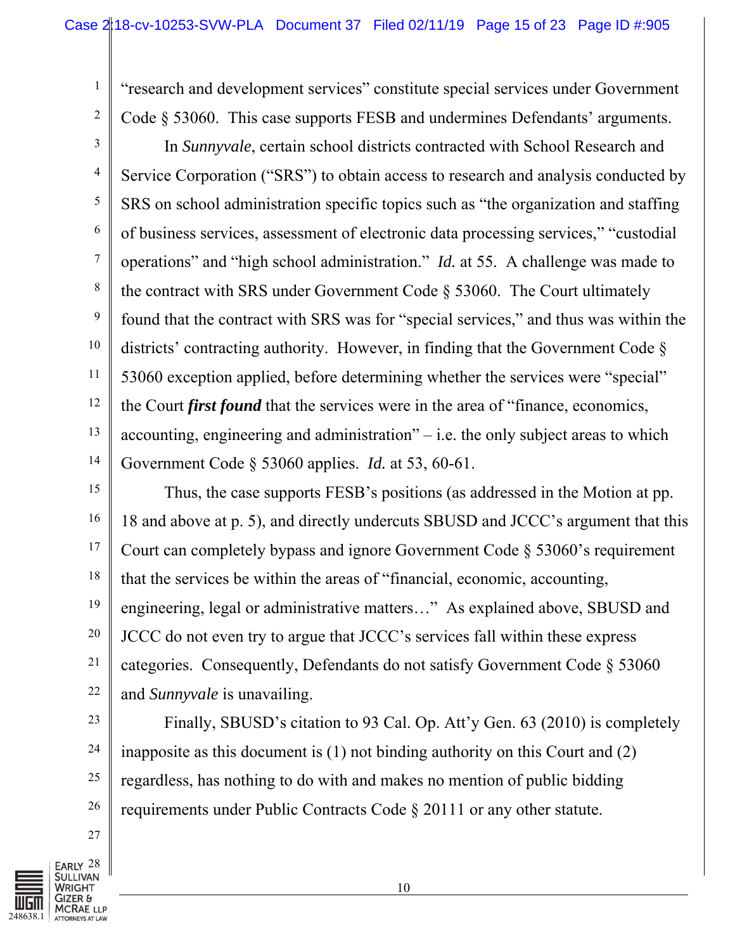"research and development services" constitute special services under Government Code § 53060. This case supports FESB and undermines Defendants' arguments.

3 4 5 6 7 8 9 10 11 12 13 14 In *Sunnyvale*, certain school districts contracted with School Research and Service Corporation ("SRS") to obtain access to research and analysis conducted by SRS on school administration specific topics such as "the organization and staffing of business services, assessment of electronic data processing services," "custodial operations" and "high school administration." *Id.* at 55. A challenge was made to the contract with SRS under Government Code § 53060. The Court ultimately found that the contract with SRS was for "special services," and thus was within the districts' contracting authority. However, in finding that the Government Code § 53060 exception applied, before determining whether the services were "special" the Court *first found* that the services were in the area of "finance, economics, accounting, engineering and administration" $-$  i.e. the only subject areas to which Government Code § 53060 applies. *Id.* at 53, 60-61.

15 16 17 18 19 20 21 22 Thus, the case supports FESB's positions (as addressed in the Motion at pp. 18 and above at p. 5), and directly undercuts SBUSD and JCCC's argument that this Court can completely bypass and ignore Government Code § 53060's requirement that the services be within the areas of "financial, economic, accounting, engineering, legal or administrative matters…" As explained above, SBUSD and JCCC do not even try to argue that JCCC's services fall within these express categories. Consequently, Defendants do not satisfy Government Code § 53060 and *Sunnyvale* is unavailing.

Finally, SBUSD's citation to 93 Cal. Op. Att'y Gen. 63 (2010) is completely inapposite as this document is (1) not binding authority on this Court and (2) regardless, has nothing to do with and makes no mention of public bidding requirements under Public Contracts Code § 20111 or any other statute.

27

23

24

25

26

1

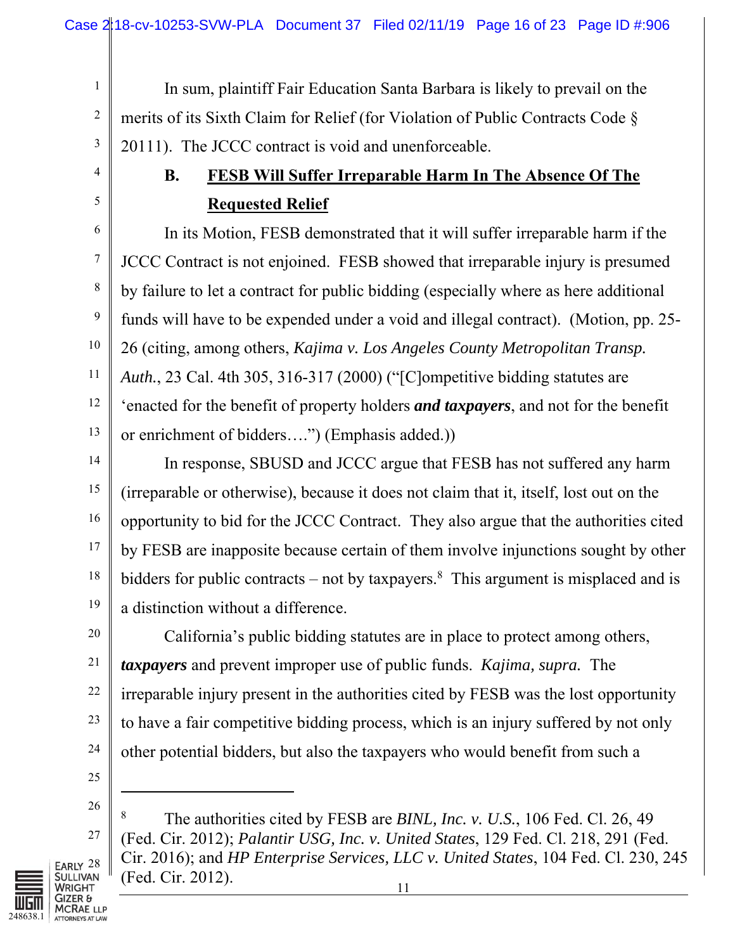In sum, plaintiff Fair Education Santa Barbara is likely to prevail on the merits of its Sixth Claim for Relief (for Violation of Public Contracts Code § 20111). The JCCC contract is void and unenforceable.

# **B. FESB Will Suffer Irreparable Harm In The Absence Of The Requested Relief**

In its Motion, FESB demonstrated that it will suffer irreparable harm if the JCCC Contract is not enjoined. FESB showed that irreparable injury is presumed by failure to let a contract for public bidding (especially where as here additional funds will have to be expended under a void and illegal contract). (Motion, pp. 25- 26 (citing, among others, *Kajima v. Los Angeles County Metropolitan Transp. Auth.*, 23 Cal. 4th 305, 316-317 (2000) ("[C]ompetitive bidding statutes are 'enacted for the benefit of property holders *and taxpayers*, and not for the benefit or enrichment of bidders….") (Emphasis added.))

14 15 16 17 18 19 In response, SBUSD and JCCC argue that FESB has not suffered any harm (irreparable or otherwise), because it does not claim that it, itself, lost out on the opportunity to bid for the JCCC Contract. They also argue that the authorities cited by FESB are inapposite because certain of them involve injunctions sought by other bidders for public contracts – not by taxpayers.<sup>8</sup> This argument is misplaced and is a distinction without a difference.

20 21 22 23 24 California's public bidding statutes are in place to protect among others, *taxpayers* and prevent improper use of public funds. *Kajima, supra.* The irreparable injury present in the authorities cited by FESB was the lost opportunity to have a fair competitive bidding process, which is an injury suffered by not only other potential bidders, but also the taxpayers who would benefit from such a

25

l

1

2

3

4

5

6

7

8

9

10

11

12

13

26

27



8 The authorities cited by FESB are *BINL, Inc. v. U.S.*, 106 Fed. Cl. 26, 49 (Fed. Cir. 2012); *Palantir USG, Inc. v. United States*, 129 Fed. Cl. 218, 291 (Fed. Cir. 2016); and *HP Enterprise Services, LLC v. United States*, 104 Fed. Cl. 230, 245 (Fed. Cir. 2012).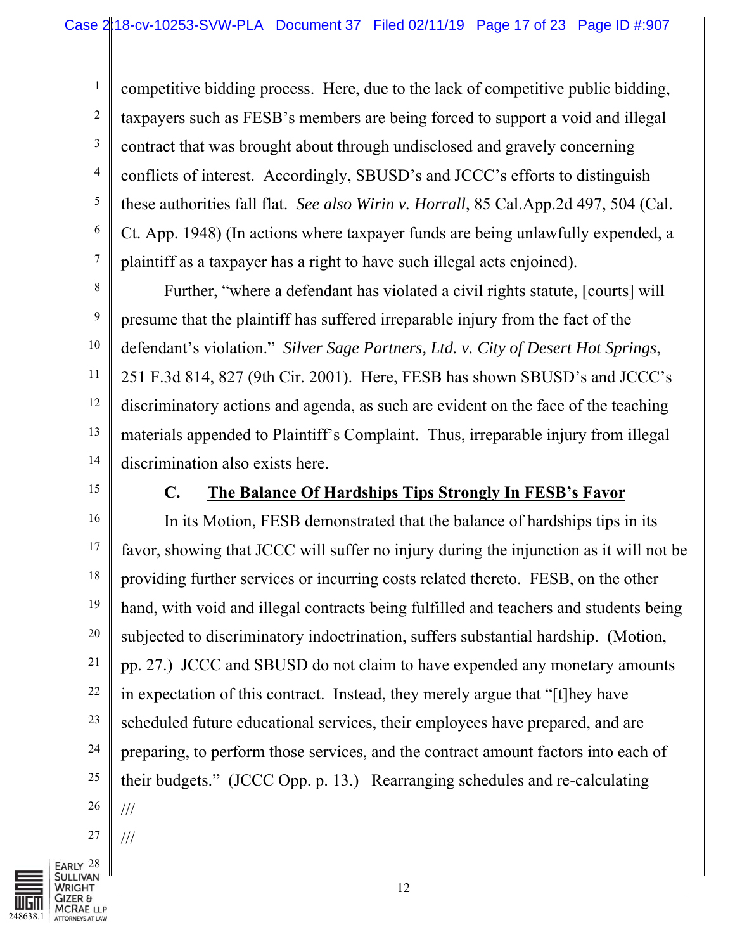2 3 4 5 competitive bidding process. Here, due to the lack of competitive public bidding, taxpayers such as FESB's members are being forced to support a void and illegal contract that was brought about through undisclosed and gravely concerning conflicts of interest. Accordingly, SBUSD's and JCCC's efforts to distinguish these authorities fall flat. *See also Wirin v. Horrall*, 85 Cal.App.2d 497, 504 (Cal. Ct. App. 1948) (In actions where taxpayer funds are being unlawfully expended, a plaintiff as a taxpayer has a right to have such illegal acts enjoined).

8 9 10 11 12 13 14 Further, "where a defendant has violated a civil rights statute, [courts] will presume that the plaintiff has suffered irreparable injury from the fact of the defendant's violation." *Silver Sage Partners, Ltd. v. City of Desert Hot Springs*, 251 F.3d 814, 827 (9th Cir. 2001). Here, FESB has shown SBUSD's and JCCC's discriminatory actions and agenda, as such are evident on the face of the teaching materials appended to Plaintiff's Complaint. Thus, irreparable injury from illegal discrimination also exists here.

15

1

6

7

### **C. The Balance Of Hardships Tips Strongly In FESB's Favor**

16 17 18 19 20 21 22 23 24 25 26 In its Motion, FESB demonstrated that the balance of hardships tips in its favor, showing that JCCC will suffer no injury during the injunction as it will not be providing further services or incurring costs related thereto. FESB, on the other hand, with void and illegal contracts being fulfilled and teachers and students being subjected to discriminatory indoctrination, suffers substantial hardship. (Motion, pp. 27.) JCCC and SBUSD do not claim to have expended any monetary amounts in expectation of this contract. Instead, they merely argue that "[t]hey have scheduled future educational services, their employees have prepared, and are preparing, to perform those services, and the contract amount factors into each of their budgets." (JCCC Opp. p. 13.) Rearranging schedules and re-calculating ///



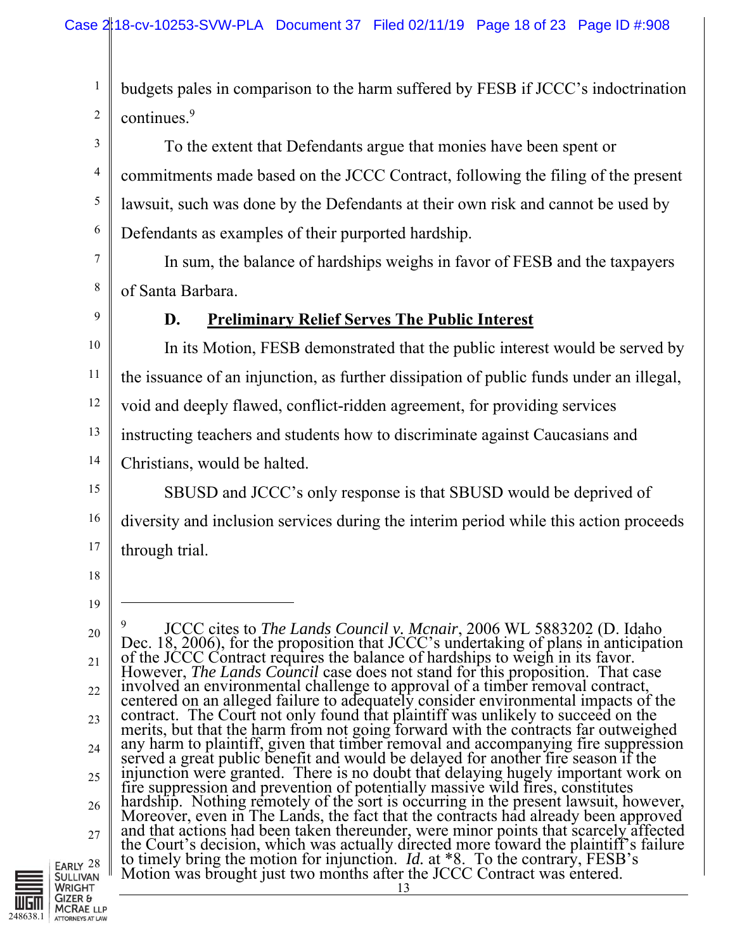1 2 budgets pales in comparison to the harm suffered by FESB if JCCC's indoctrination continues.<sup>9</sup>

3 5 To the extent that Defendants argue that monies have been spent or commitments made based on the JCCC Contract, following the filing of the present lawsuit, such was done by the Defendants at their own risk and cannot be used by Defendants as examples of their purported hardship.

7 8 In sum, the balance of hardships weighs in favor of FESB and the taxpayers of Santa Barbara.

9

4

6

## **D. Preliminary Relief Serves The Public Interest**

10 11 12 13 14 In its Motion, FESB demonstrated that the public interest would be served by the issuance of an injunction, as further dissipation of public funds under an illegal, void and deeply flawed, conflict-ridden agreement, for providing services instructing teachers and students how to discriminate against Caucasians and Christians, would be halted.

15 16 17 SBUSD and JCCC's only response is that SBUSD would be deprived of diversity and inclusion services during the interim period while this action proceeds through trial.

18

19

 $\overline{a}$ 

<sup>20</sup>  21 22 23 24 25 26 27 9 <sup>9</sup> JCCC cites to *The Lands Council v. Mcnair*, 2006 WL 5883202 (D. Idaho<br>Dec. 18, 2006), for the proposition that JCCC's undertaking of plans in anticipation<br>of the JCCC Contract requires the balance of hardships to weig However, *The Lands Council* case does not stand for this proposition. That case<br>involved an environmental challenge to approval of a timber removal contract,<br>centered on an alleged failure to adequately consider environme contract. The Court not only found that plaintiff was unlikely to succeed on the merits, but that the harm from not going forward with the contracts far outweighed any harm to plaintiff, given that timber removal and accom fire suppression and prevention of potentially massive wild fires, constitutes<br>hardship. Nothing remotely of the sort is occurring in the present lawsuit, however,<br>Moreover, even in The Lands, the fact that the contracts

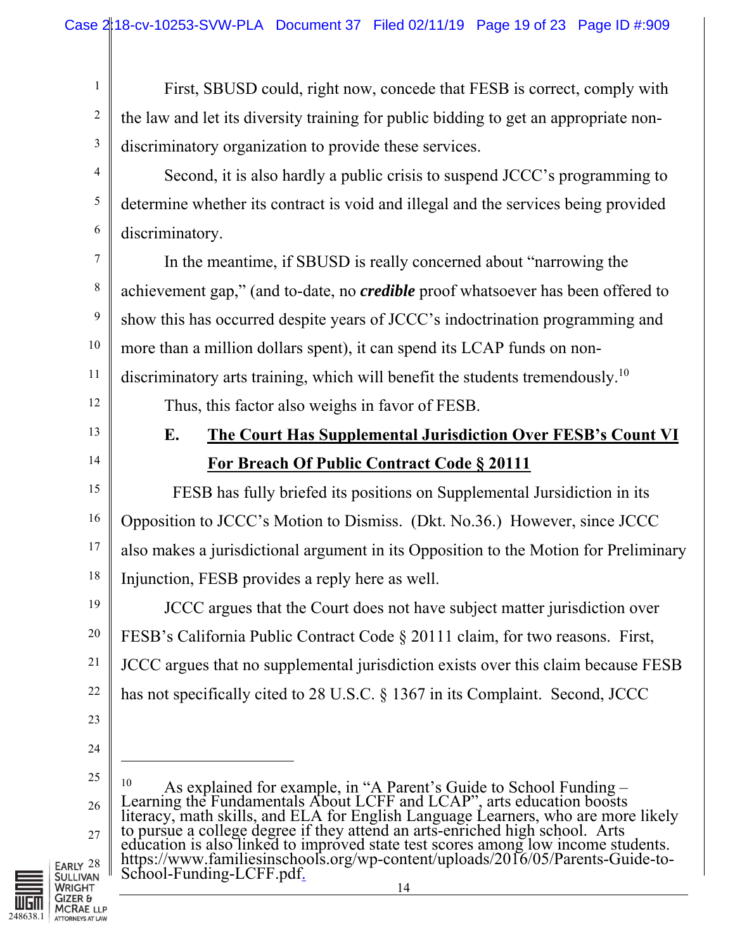First, SBUSD could, right now, concede that FESB is correct, comply with the law and let its diversity training for public bidding to get an appropriate nondiscriminatory organization to provide these services.

5 6 Second, it is also hardly a public crisis to suspend JCCC's programming to determine whether its contract is void and illegal and the services being provided discriminatory.

In the meantime, if SBUSD is really concerned about "narrowing the achievement gap," (and to-date, no *credible* proof whatsoever has been offered to show this has occurred despite years of JCCC's indoctrination programming and more than a million dollars spent), it can spend its LCAP funds on nondiscriminatory arts training, which will benefit the students tremendously.<sup>10</sup> Thus, this factor also weighs in favor of FESB.

## 12 13

1

2

3

4

7

8

9

10

11

14

15

16

17

18

# **E. The Court Has Supplemental Jurisdiction Over FESB's Count VI For Breach Of Public Contract Code § 20111**

 FESB has fully briefed its positions on Supplemental Jursidiction in its Opposition to JCCC's Motion to Dismiss. (Dkt. No.36.) However, since JCCC also makes a jurisdictional argument in its Opposition to the Motion for Preliminary Injunction, FESB provides a reply here as well.

19 20 22 JCCC argues that the Court does not have subject matter jurisdiction over FESB's California Public Contract Code § 20111 claim, for two reasons. First, JCCC argues that no supplemental jurisdiction exists over this claim because FESB has not specifically cited to 28 U.S.C. § 1367 in its Complaint. Second, JCCC

23

21

24

 $\overline{a}$ 

25 26 27 <sup>10</sup> As explained for example, in "A Parent's Guide to School Funding – Learning the Fundamentals About LCFF and LCAP", arts education boosts literacy, math skills, and ELA for English Language Learners, who are more likely to pursue a college degree if they attend an arts-enriched high school. Arts education is also linked to improved state test scores among low income students. https://www.familiesinschools.org/wp-content/uploads/2016/05/Parents-Guide-to-School-Funding-LCFF.pdf.

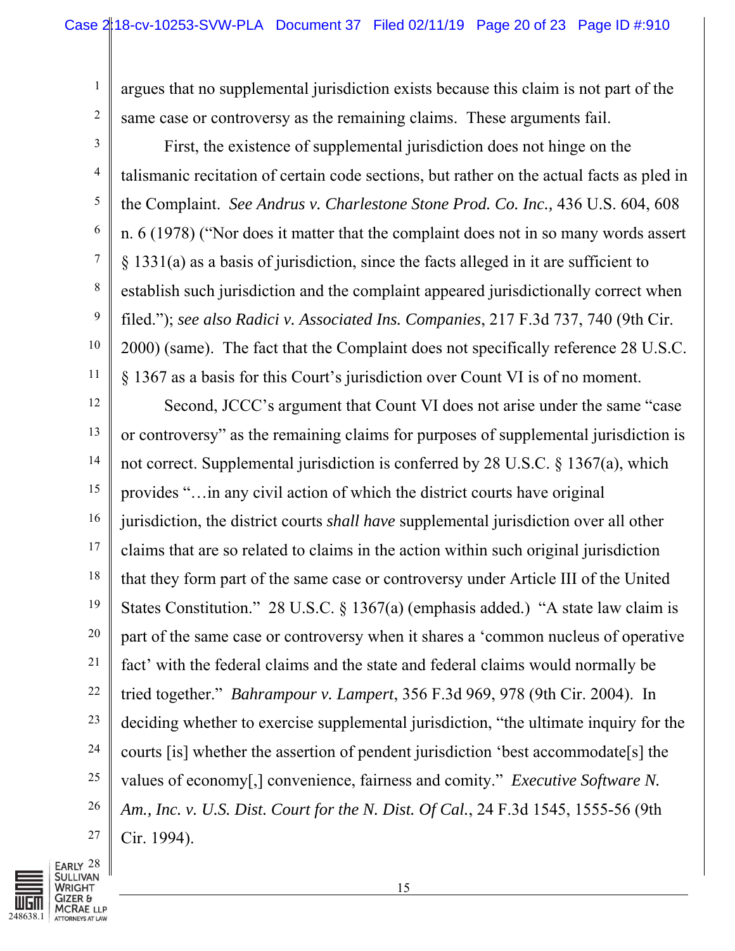argues that no supplemental jurisdiction exists because this claim is not part of the same case or controversy as the remaining claims. These arguments fail.

First, the existence of supplemental jurisdiction does not hinge on the talismanic recitation of certain code sections, but rather on the actual facts as pled in the Complaint. *See Andrus v. Charlestone Stone Prod. Co. Inc.,* 436 U.S. 604, 608 n. 6 (1978) ("Nor does it matter that the complaint does not in so many words assert § 1331(a) as a basis of jurisdiction, since the facts alleged in it are sufficient to establish such jurisdiction and the complaint appeared jurisdictionally correct when filed."); *see also Radici v. Associated Ins. Companies*, 217 F.3d 737, 740 (9th Cir. 2000) (same). The fact that the Complaint does not specifically reference 28 U.S.C. § 1367 as a basis for this Court's jurisdiction over Count VI is of no moment.

12 13 14 15 16 17 18 19 20 21 22 23 24 25 26 27 Second, JCCC's argument that Count VI does not arise under the same "case or controversy" as the remaining claims for purposes of supplemental jurisdiction is not correct. Supplemental jurisdiction is conferred by 28 U.S.C. § 1367(a), which provides "…in any civil action of which the district courts have original jurisdiction, the district courts *shall have* supplemental jurisdiction over all other claims that are so related to claims in the action within such original jurisdiction that they form part of the same case or controversy under Article III of the United States Constitution." 28 U.S.C.  $\S$  1367(a) (emphasis added.) "A state law claim is part of the same case or controversy when it shares a 'common nucleus of operative fact' with the federal claims and the state and federal claims would normally be tried together." *Bahrampour v. Lampert*, 356 F.3d 969, 978 (9th Cir. 2004). In deciding whether to exercise supplemental jurisdiction, "the ultimate inquiry for the courts [is] whether the assertion of pendent jurisdiction 'best accommodate[s] the values of economy[,] convenience, fairness and comity." *Executive Software N. Am., Inc. v. U.S. Dist. Court for the N. Dist. Of Cal.*, 24 F.3d 1545, 1555-56 (9th Cir. 1994).



1

2

3

4

5

6

7

8

9

10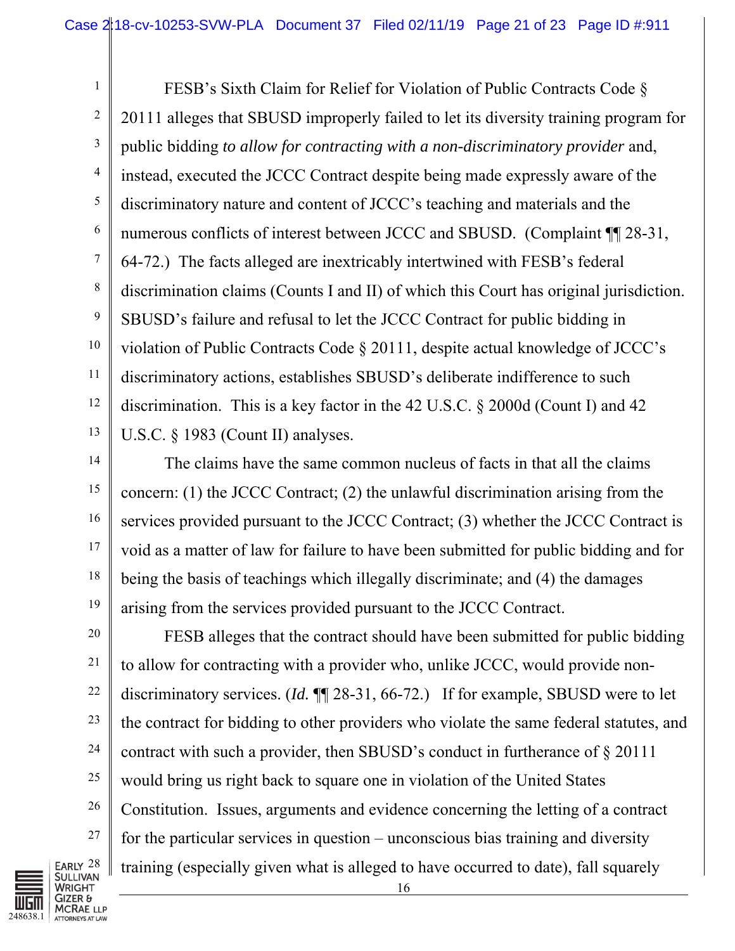1 2 3 4 5 6 7 8 9 10 11 12 13 FESB's Sixth Claim for Relief for Violation of Public Contracts Code § 20111 alleges that SBUSD improperly failed to let its diversity training program for public bidding *to allow for contracting with a non-discriminatory provider* and, instead, executed the JCCC Contract despite being made expressly aware of the discriminatory nature and content of JCCC's teaching and materials and the numerous conflicts of interest between JCCC and SBUSD. (Complaint ¶ 28-31, 64-72.) The facts alleged are inextricably intertwined with FESB's federal discrimination claims (Counts I and II) of which this Court has original jurisdiction. SBUSD's failure and refusal to let the JCCC Contract for public bidding in violation of Public Contracts Code § 20111, despite actual knowledge of JCCC's discriminatory actions, establishes SBUSD's deliberate indifference to such discrimination. This is a key factor in the 42 U.S.C. § 2000d (Count I) and 42 U.S.C. § 1983 (Count II) analyses.

14 15 16 17 18 19 The claims have the same common nucleus of facts in that all the claims concern: (1) the JCCC Contract; (2) the unlawful discrimination arising from the services provided pursuant to the JCCC Contract; (3) whether the JCCC Contract is void as a matter of law for failure to have been submitted for public bidding and for being the basis of teachings which illegally discriminate; and (4) the damages arising from the services provided pursuant to the JCCC Contract.

FESB alleges that the contract should have been submitted for public bidding to allow for contracting with a provider who, unlike JCCC, would provide nondiscriminatory services. (*Id.* ¶¶ 28-31, 66-72.) If for example, SBUSD were to let the contract for bidding to other providers who violate the same federal statutes, and contract with such a provider, then SBUSD's conduct in furtherance of § 20111 would bring us right back to square one in violation of the United States Constitution. Issues, arguments and evidence concerning the letting of a contract for the particular services in question – unconscious bias training and diversity training (especially given what is alleged to have occurred to date), fall squarely



20

21

22

23

24

25

26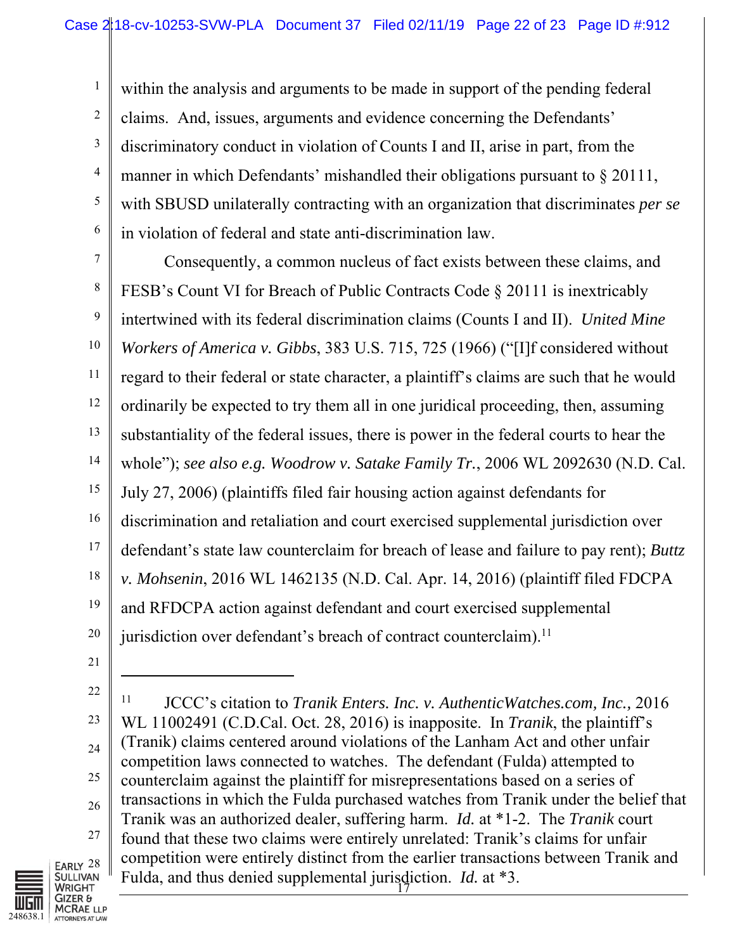2 3 4 5 6 within the analysis and arguments to be made in support of the pending federal claims. And, issues, arguments and evidence concerning the Defendants' discriminatory conduct in violation of Counts I and II, arise in part, from the manner in which Defendants' mishandled their obligations pursuant to § 20111, with SBUSD unilaterally contracting with an organization that discriminates *per se*  in violation of federal and state anti-discrimination law.

7 8 9 10 11 12 13 14 15 16 17 18 19 20 Consequently, a common nucleus of fact exists between these claims, and FESB's Count VI for Breach of Public Contracts Code § 20111 is inextricably intertwined with its federal discrimination claims (Counts I and II). *United Mine Workers of America v. Gibbs*, 383 U.S. 715, 725 (1966) ("[I]f considered without regard to their federal or state character, a plaintiff's claims are such that he would ordinarily be expected to try them all in one juridical proceeding, then, assuming substantiality of the federal issues, there is power in the federal courts to hear the whole"); *see also e.g. Woodrow v. Satake Family Tr.*, 2006 WL 2092630 (N.D. Cal. July 27, 2006) (plaintiffs filed fair housing action against defendants for discrimination and retaliation and court exercised supplemental jurisdiction over defendant's state law counterclaim for breach of lease and failure to pay rent); *Buttz v. Mohsenin*, 2016 WL 1462135 (N.D. Cal. Apr. 14, 2016) (plaintiff filed FDCPA and RFDCPA action against defendant and court exercised supplemental jurisdiction over defendant's breach of contract counterclaim).<sup>11</sup>

21

l

1

22 23 24 25 26 27 Fulda, and thus denied supplemental jurisdiction. *Id.* at \*3. 11 JCCC's citation to *Tranik Enters. Inc. v. AuthenticWatches.com, Inc.,* 2016 WL 11002491 (C.D.Cal. Oct. 28, 2016) is inapposite. In *Tranik*, the plaintiff's (Tranik) claims centered around violations of the Lanham Act and other unfair competition laws connected to watches. The defendant (Fulda) attempted to counterclaim against the plaintiff for misrepresentations based on a series of transactions in which the Fulda purchased watches from Tranik under the belief that Tranik was an authorized dealer, suffering harm. *Id.* at \*1-2. The *Tranik* court found that these two claims were entirely unrelated: Tranik's claims for unfair competition were entirely distinct from the earlier transactions between Tranik and